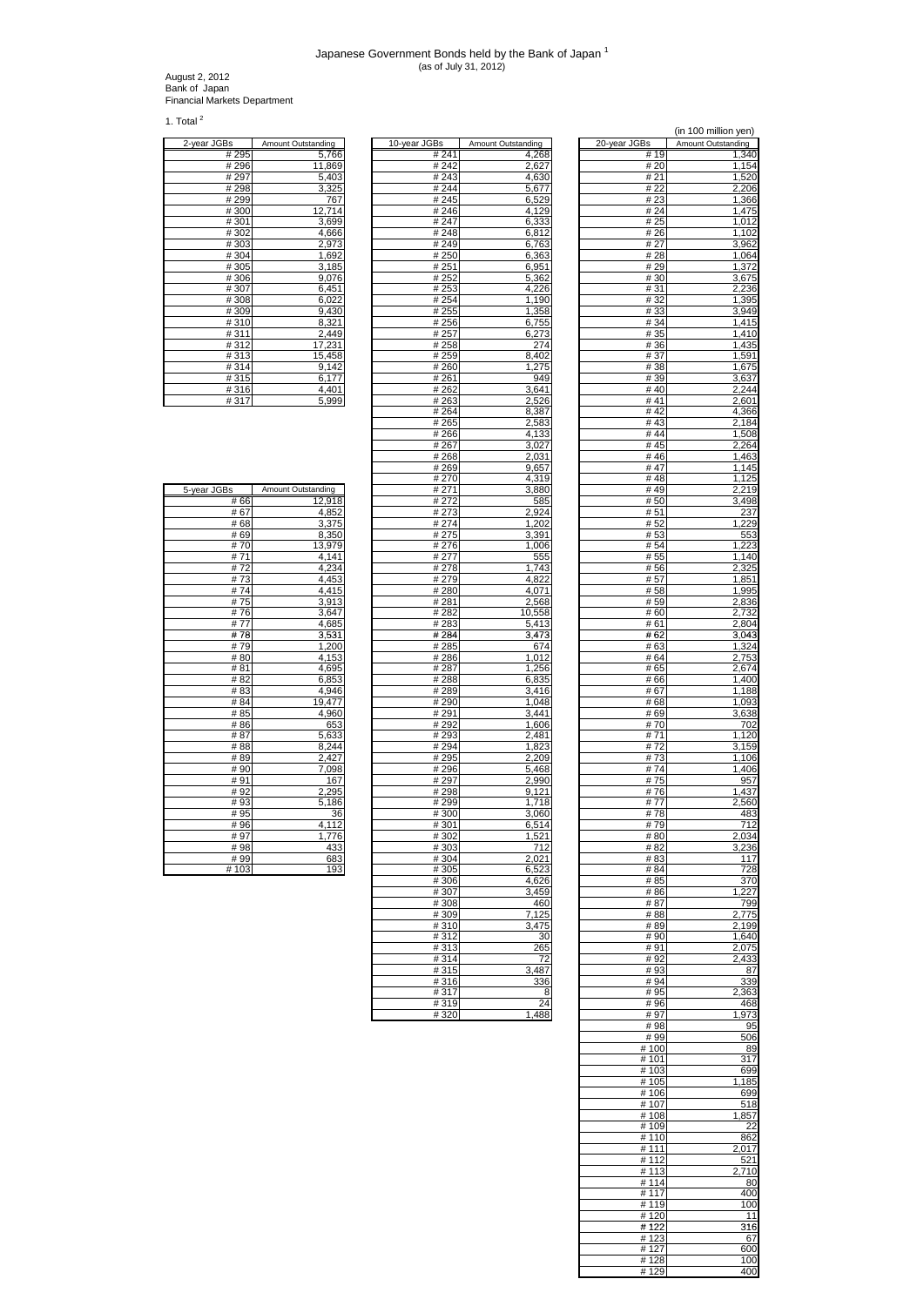## Japanese Government Bonds held by the Bank of Japan <sup>1</sup> (as of July 31, 2012)

August 2, 2012 Bank of Japan Financial Markets Department

1. Total  $^2$ 

| 2-year JGBs                   | Amount Outstanding |
|-------------------------------|--------------------|
| # 295                         | 5,766              |
| #296                          | 11,869             |
| #297                          | 5,403              |
| #298                          | 3,325              |
| #299                          | 767                |
| #300                          | 12,714             |
| #301                          | 3,699              |
| #302                          | 4,666              |
| #303                          | 2,973              |
| #304                          | 1,692              |
| #305                          | 3,185              |
| #306                          | 9,076              |
| #307                          | 6,451              |
| #308                          | 6,022              |
| #309                          | 9,430              |
| #310                          | 8,321              |
| #311                          | 2,449              |
| #312                          | 17,231             |
| #313                          | 15,458             |
| #314                          | 9,142              |
| #315                          | 6,177              |
| #316                          | 4,401              |
| $\overline{u}$ $\overline{u}$ | $F \cap R$         |

| 2-year JGBs | Amount Outstanding | 10-year JGBs | Amount Outstanding | 20-year JGBs | Amount Outstanding |
|-------------|--------------------|--------------|--------------------|--------------|--------------------|
| #295        | 5,766              | # 241        | 4,268              | #19          | 1,340              |
| #296        | 11.869             | #242         | 2,627              | # 20         | 1,154              |
| #297        | 5,403              | #243         | 4,630              | # 21         | 1,520              |
| #298        | 3,325              | #244         | 5,677              | # 22         | 2,206              |
| #299        | 767                | #245         | 6,529              | #23          | 1,366              |
| #300        | 12,714             | #246         | 4,129              | # 24         | 1,475              |
| #301        | 3,699              | # 247        |                    | # 25         |                    |
|             |                    |              | 6,333              |              | 1,012              |
| #302        | 4,666              | #248         | 6,812              | # 26         | 1,102              |
| #303        | 2,973              | #249         | 6,763              | # 27         | 3,962              |
| #304        | 1,692              | # 250        | 6,363              | #28          | 1,064              |
| #305        | 3,185              | # 251        | 6,951              | # 29         | 1,372              |
| #306        | 9,076              | #252         | 5,362              | #30          | 3,675              |
| #307        | 6,451              | #253         | 4,226              | # 31         | 2,236              |
| #308        | 6,022              | # 254        | 1,190              | #32          | 1,395              |
| #309        | 9,430              | # 255        | 1,358              | #33          | 3,949              |
| #310        | 8,321              | # 256        | 6,755              | # 34         | 1,415              |
| #311        | 2,449              | # 257        | 6,273              | # 35         | $\overline{1,}410$ |
| #312        | 17,231             | #258         | 274                | #36          | 1,435              |
| #313        | 15,458             | #259         | 8,402              | #37          | 1,591              |
|             |                    |              |                    |              |                    |
| #314        | 9,142              | #260         | 1,275              | #38          | 1,675              |
| #315        | 6,177              | #261         | 949                | #39          | 3,637              |
| #316        | 4,401              | #262         | 3,641              | #40          | 2,244              |
| #317        | 5,999              | #263         | 2,526              | #41          | 2,601              |
|             |                    | #264         | 8,387              | #42          | 4,366              |
|             |                    | #265         | 2,583              | #43          | 2,184              |
|             |                    | #266         | 4,133              | #44          | 1,508              |
|             |                    | #267         | 3,027              | #45          | 2,264              |
|             |                    | #268         | 2,031              | #46          | 1,463              |
|             |                    | #269         | 9,657              | #47          | $\overline{1,}145$ |
|             |                    | #270         | 4,319              | #48          | 1,125              |
| 5-year JGBs | Amount Outstanding | # 271        | 3,880              | #49          | 2,219              |
| # 66        | 12.918             | # 272        | 585                | #50          | $\overline{3,}498$ |
| # 67        |                    |              | 2.924              | # 51         |                    |
|             | 4,852              | #273         |                    |              | 237                |
| #68         | 3,375              | #274         | 1,202              | #52          | 1,229              |
| #69         | 8,350              | # 275        | 3,391              | #53          | 553                |
| #70         | 13,979             | #276         | 1,006              | # 54         | 1,223              |
| #71         | 4,141              | #277         | 555                | # 55         | 1,140              |
| #72         | 4,234              | #278         | 1,743              | # 56         | 2,325              |
| #73         | 4,453              | #279         | 4,822              | # 57         | 1,851              |
| #74         | 4,415              | #280         | 4,071              | #58          | 1,995              |
| #75         | 3,913              | #281         | 2,568              | # 59         | 2,836              |
| #76         | 3,647              | #282         | 10,558             | # 60         | 2,732              |
| #77         | 4,685              | #283         | 5,413              | # 61         | 2,804              |
| #78         | 3,531              | # 284        | 3,473              | # 62         | 3,043              |
| #79         | 1,200              | #285         | 674                | # 63         | 1,324              |
| #80         |                    |              |                    |              |                    |
|             | 4,153              | #286         | 1,012              | # 64         | 2,753              |
| #81         | 4,695              | #287         | 1,256              | # 65         | 2,674              |
| # 82        | 6,853              | #288         | 6,835              | #66          | 1,400              |
| # 83        | 4,946              | #289         | 3,416              | # 67         | 1,188              |
| # 84        | 19,477             | #290         | 1,048              | # 68         | 1,093              |
| # 85        | 4,960              | # 291        | 3,441              | # 69         | 3,638              |
| #86         | 653                | #292         | 1,606              | #70          | 702                |
| #87         | 5,633              | #293         | 2,481              | #71          | 1,120              |
| #88         | 8,244              | # 294        | 1,823              | #72          | 3,159              |
| #89         | 2,427              | #295         | 2,209              | #73          | 1,106              |
| #90         | 7,098              | #296         | 5,468              | #74          | 1,406              |
| #91         | 167                | # 297        | 2,990              | #75          | 957                |
| #92         | 2,295              | #298         | 9,121              | #76          | 1,437              |
|             |                    |              |                    |              |                    |
| #93         | 5,186              | #299         | 1,718              | # 77         | 2,560              |
| #95         | 36                 | #300         | 3,060              | #78          | 483                |
| #96         | 4,112              | #301         | 6,514              | #79          | <u>712</u>         |
| # 97        | 1,776              | #302         | 1,521              | # 80         | 2,034              |
| #98         | 433                | #303         | 712                | # 82         | 3,236              |
| #99         | 683                | #304         | 2,021              | #83          | 117                |
| #103        | 193                | #305         | 6,523              | # 84         | 728                |
|             |                    | #306         | 4,626              | # 85         | 37 <sub>C</sub>    |
|             |                    | #307         | 3,459              | #86          | $\overline{.227}$  |
|             |                    | #308         | 460                | #87          | 799                |
|             |                    | #309         | 7,125              | #88          | 2,775              |
|             |                    | #310         | 3,475              | #89          | 2,199              |
|             |                    |              |                    | #90          |                    |
|             |                    | #312         | 30                 |              | 1,640              |
|             |                    | #313         | 265                | #91          | 2,075              |
|             |                    | #314         | 72                 | #92          | 2,433              |
|             |                    | #315         | 3,487              | #93          | 87                 |
|             |                    | #316         | 336                | #94          | 339                |
|             |                    | #317         | 8                  | #95          | 2,363              |
|             |                    | #319         | 24                 | #96          | 468                |
|             |                    | #320         | 1,488              | #97          | 1,973              |
|             |                    |              |                    |              |                    |

|                   |                    |               | (in 100 million yen) |
|-------------------|--------------------|---------------|----------------------|
| Bs                | Amount Outstanding | 20-year JGBs  | Amount Outstanding   |
| # 241             | 4,268              | 19<br>#       | 1,340                |
| #242              | 2,627              | # 20          | 1,154                |
| #243              | 4,630              | # 21          | 1,520                |
| # 244             | 5,677              | # 22          | 2,206                |
| # 245             | 6,529              | # 23          | 1,366                |
| # 246             | 4,129              | # 24          | 1,475                |
| #247              | 6,333              | # 25          | 1,012                |
| #248              | 6,812              | # 26          | 1,102                |
| # 249             | 6,763              | # 27          | 3,962                |
| # 250             | 6,363              | # 28          | 1,064                |
| # 251             | 6,951              | #29           | 1,372                |
| # 252             | 5,362              | #30           | 3,675                |
| # 253             | 4,226              | #31           | 2,236                |
| # 254             | 1,190              | #32           | 1,395                |
| # 255             | 1,358              | #33           | 3,949                |
| # 256             | 6,755              | # 34<br># 35  | 1,415<br>1,410       |
| # 257<br>#258     | 6,273<br>274       | #36           | 1,435                |
| #259              | 8,402              | #37           | 1,591                |
| #260              | 1,275              | #38           | 1,675                |
| # 261             | 949                | #39           | 3,637                |
| #262              | 3,641              | #40           | 2,244                |
| #263              | 2,526              | # 41          | 2,601                |
| # 264             | 8,387              | #42           | 4,366                |
| #265              | 2,583              | #43           | 2,184                |
| #266              | 4,133              | #44           | 1,508                |
| #267              | 3,027              | #45           | 2,264                |
| #268              | 2,031              | #46           | 1,463                |
| #269              | 9,657              | #47           | 1,145                |
| # 270             | 4,319              | #48           | 1,125                |
| # 271             | 3,880              | #49           | 2,219                |
| # 272             | 585                | # 50          | 3,498                |
| # 273             | 2,924              | # 51          | 237                  |
| # 274             | 1,202              | # 52          | 1,229                |
| # 275             | 3,391              | # 53          | 553                  |
| # 276             | 1,006              | # 54          | 1,223                |
| #277              | 555                | # 55          | 1,140                |
| #278              | 1,743              | # 56          | 2,325                |
| #279              | 4,822              | # 57          | 1,851                |
| #280              | 4,071              | # 58          | 1,995                |
| #281              | 2,568              | # 59<br># 60  | 2,836<br>2,732       |
| #282<br>#283      | 10,558<br>5,413    | # 61          | 2,804                |
| $\frac{1}{4}$ 284 | 3,473              | # 62          | 3,043                |
| # 285             | 674                | # 63          | 1,324                |
| #286              | 1,012              | # 64          | 2,753                |
| # 287             | 1,256              | # 65          | 2,674                |
| #288              | 6,835              | # 66          | 1,400                |
| # 289             | 3,416              | # 67          | 1,188                |
| # 290             | 1,048              | # 68          | 1,093                |
| # 291             | 3,441              | # 69          | 3,638                |
| # 292             | 1,606              | # 70          | 702                  |
| # 293             | 2,481              | # 71          | 1,120                |
| # 294             | 1,823              | # 72          | 3,159                |
| # 295             | 2,209              | #73           | 1,106                |
| # 296             | 5,468              | #74           | 1,406                |
| # 297             | 2,990              | #75           | 957                  |
| #298              | 9,121              | #76           | 1,437                |
| # 299             | 1,718              | # 77          | 2,560                |
| #300              | 3,060              | #78           | 483                  |
| # 301             | 514                | # 79          | 712                  |
| #302              | 1,521              | #80           | 2,034                |
| #303              | 712                | # 82          | 3,236                |
| #304              | 2,021              | # 83          | 117                  |
| #305              | 6,523              | # 84          | 728                  |
| #306<br>#307      | 4,626<br>3,459     | # 85<br># 86  | 370<br>1.227         |
| #308              | 460                | #87           | 799                  |
| #309              | 7,125              | #88           | 2,775                |
| #310              | 3.475              | #89           | 2,199                |
| #312              | 30                 | #90           | 1,640                |
| #313              | 265                | #91           | 2,075                |
| #314              | 72                 | #92           | 2,433                |
| #315              | 3,487              | #93           | 87                   |
| #316              | 336                | #94           | 339                  |
| #317              | - 8                | #95           | 2,363                |
| #319              | 24                 | #96           | 468                  |
| #320              | 1,488              | #97           | 1,973                |
|                   |                    | #98           | 95                   |
|                   |                    | #99           | 506                  |
|                   |                    | # 100         | 89                   |
|                   |                    | # 101         | 317                  |
|                   |                    | #103          | 699                  |
|                   |                    | #105          | 1,185                |
|                   |                    | #106          | 699<br>518           |
|                   |                    | # 107<br>#108 | 1,857                |
|                   |                    | #109          | 22                   |
|                   |                    | #110          | 862                  |
|                   |                    | #111          | 2,017                |
|                   |                    | #112          | 521                  |
|                   |                    | #113          | 2,710                |
|                   |                    | #114          | 80                   |
|                   |                    | #117          | 400                  |
|                   |                    | #119          | 100                  |
|                   |                    | #120          | 11                   |
|                   |                    | #122          | 316                  |
|                   |                    | #123          | 67                   |
|                   |                    | #127          | 600                  |
|                   |                    | #128          | 100                  |
|                   |                    | #129          | 400                  |

| 5-year JGBs | Amount Outstanding |
|-------------|--------------------|
| # 66        | 12,918             |
| # 67        | 4,852              |
| # 68        | 3,375              |
| #69         | 8,350              |
| #70         | 13,979             |
| #71         | 4,141              |
| #72         | 4,234              |
| #73         | 4,453              |
| # 74        | 4,415              |
| #75         | 3,913              |
| #76         | 3,647              |
| # 77        | 4,685              |
| #78         | 3,531              |
| #79         | 1,200              |
| #80         | 4,153              |
| #81         | 4,695              |
| # 82        | 6,853              |
| # 83        | 4,946              |
| # 84        | 19,477             |
| # 85        | 4,960              |
| #86         | 653                |
| #87         | 5,633              |
| # 88        | 8,244              |
| #89         | 2,427              |
| #90         | 7,098              |
| #91         | 167                |
| #92         | 2,295              |
| #93         | 5,186              |
| # 95        | 36                 |
| #96         | 4,112              |
| #97         | 1,776              |
| #98         | 433                |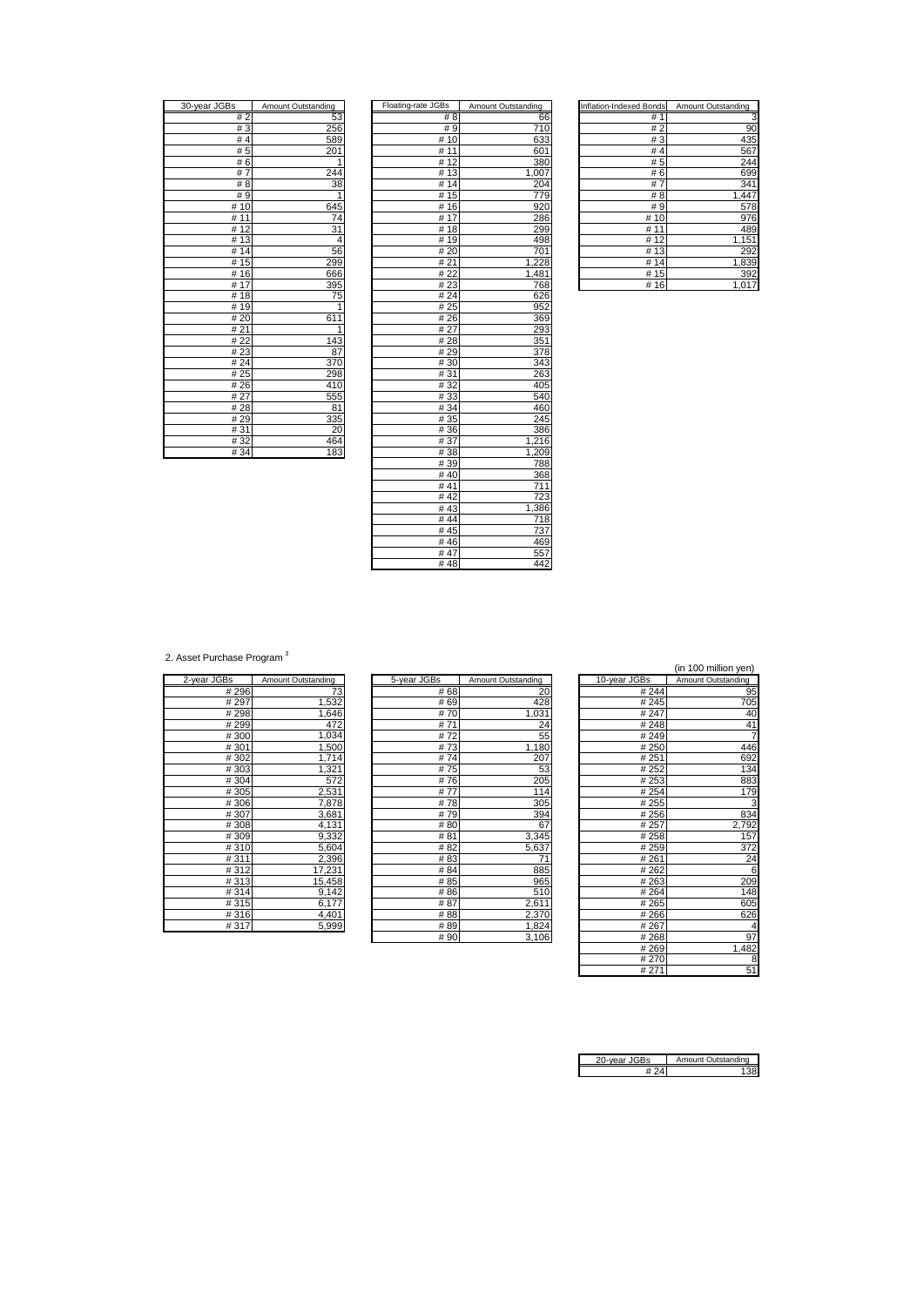| 30-year JGBs         | Amount Outstanding |
|----------------------|--------------------|
| #2                   | 53                 |
| #3                   | 256                |
| #4                   | 589                |
| #5                   | 201                |
| #6                   | $\overline{1}$     |
| 7<br>#               | 244                |
| # 8                  | 38                 |
| #9                   | 1                  |
| #10                  | 645                |
| 11<br>#              | $\overline{7}$ 4   |
| $\overline{1}2$<br># | $\overline{31}$    |
| #13                  | $\overline{4}$     |
| 14<br>#              | 56                 |
| 15<br>#              | 299                |
| #16                  | 666                |
| 17<br>#              | 395                |
| 18<br>#              | 75                 |
| #19                  | $\overline{1}$     |
| # 20                 | 1<br>61            |
| #21                  | 1                  |
| #22                  | 143                |
| # 23                 | 87                 |
| # 24                 | 370                |
| #25                  | 298                |
| #26                  | 410                |
| # 27                 | 555                |
| #28                  | 81                 |
| #29                  | 335                |
| #31                  | 20                 |
| #32                  | 464                |
| # 34                 | 183                |

| 30-year JGBs      | Amount Outstanding | Floating-rate JGBs | Amount Outstanding | <b>Inflation-Indexed Bonds</b> | Amount Outstanding |
|-------------------|--------------------|--------------------|--------------------|--------------------------------|--------------------|
| #2                | 53                 | #8                 | 66                 | #1                             | з                  |
| #3                | 256                | #9                 | 710                | #2                             | 90                 |
| #4                | 589                | # 10               | 633                | #3                             | 435                |
| #5                | 201                | #11                | 601                | #4                             | 567                |
| #6                | 1                  | #12                | 380                | #5                             | 244                |
| #7                | 244                | #13                | 1,007              | #6                             | 699                |
| #8                | 38                 | #14                | 204                | #7                             | 341                |
| # 9               | 1                  | #15                | 779                | # 8                            | 1,447              |
| #10               | 645                | #16                | 920                | #9                             | 578                |
| #11               | 74                 | #17                | 286                | #10                            | 976                |
| #12               | 31                 | #18                | 299                | #11                            | 489                |
| #13               | 4                  | #19                | 498                | #12                            | 1,151              |
| #14               | 56                 | #20                | 701                | #13                            | 292                |
| #15               | 299                | #21                | 1,228              | #14                            | 1,839              |
| #16               | 666                | # 22               | 1,481              | #15                            | 392                |
| #17               | 395                | #23                | 768                | #16                            | 1,017              |
| #18               | 75                 | # 24               | 626                |                                |                    |
| #19               | 1                  | #25                | 952                |                                |                    |
| # 20              | 611                | #26                | 369                |                                |                    |
| #21               | $\mathbf{1}$       | #27                | 293                |                                |                    |
| # $\overline{22}$ | 143                | #28                | 351                |                                |                    |
| #23               | 87                 | # 29               | 378                |                                |                    |
| #24               | 370                | #30                | 343                |                                |                    |
| #25               | 298                | #31                | 263                |                                |                    |
| # $26$            | 410                | #32                | 405                |                                |                    |
| #27               | 555                | #33                | 540                |                                |                    |
| #28               | 81                 | #34                | 460                |                                |                    |
| #29               | 335                | #35                | 245                |                                |                    |
| #31               | 20                 | #36                | 386                |                                |                    |
| #32               | 464                | #37                | 1,216              |                                |                    |
| #34               | 183                | #38                | 1,209              |                                |                    |
|                   |                    | #39                | 788                |                                |                    |
|                   |                    | #40                | 368                |                                |                    |
|                   |                    | #41                | 711                |                                |                    |
|                   |                    | #42                | 723                |                                |                    |
|                   |                    | #43                | 1,386              |                                |                    |
|                   |                    | #44                | 718                |                                |                    |
|                   |                    | #45                | 737                |                                |                    |
|                   |                    | #46                | 469                |                                |                    |
|                   |                    | #47                | 557                |                                |                    |
|                   |                    | #48                | 442                |                                |                    |

| Inflation-Indexed Bonds | Amount Outstanding |
|-------------------------|--------------------|
| 1<br>#                  | 3                  |
| # 2                     | 90                 |
| #3                      | 435                |
| #4                      | 567                |
| # 5                     | 244                |
| #<br>6                  | 699                |
| #<br>7                  | 341                |
| # 8                     | 1,44               |
| #9                      | 578                |
| #<br>10                 | 976                |
| #                       | 489                |
| #<br>12                 | 1,151              |
| #<br>13                 | 292                |
| #<br>14                 | 1,839              |
| 15<br>#                 | 39                 |
| 16<br>#                 | 1.01               |

2. Asset Purchase Program<sup>3</sup>

| 2-year JGBs | Amount Outstanding |
|-------------|--------------------|
| #296        | 73                 |
| #297        | 1,532              |
| #298        | 1,646              |
| #299        | 472                |
| #300        | 1,034              |
| #301        | 1,500              |
| #302        | 1,714              |
| #303        | 1,321              |
| #304        | 572                |
| #305        | 2,531              |
| #306        | 7,878              |
| #307        | 3,681              |
| #308        | 4,131              |
| #309        | 9,332              |
| #310        | 5,604              |
| #311        | 2,396              |
| #312        | 17,231             |
| # 313       | 15,458             |
| #314        | 9,142              |
| #315        | 6,177              |
| #316        | 4,401              |
| #317        | 5.999              |

|             |                    |             |                    |              | $\cdot$ $\cdot$    |
|-------------|--------------------|-------------|--------------------|--------------|--------------------|
| 2-year JGBs | Amount Outstanding | 5-year JGBs | Amount Outstanding | 10-year JGBs | Amount Outstanding |
| #296        | 73                 |             | #68<br>20          | # 244        | 95                 |
| #297        | 1,532              |             | 428<br># 69        | #245         | 705                |
| #298        | 1,646              |             | 1,031<br>#70       | # 247        | 40                 |
| #299        | 472                |             | #71<br>24          | #248         | 41                 |
| #300        | 1,034              |             | 55<br>#72          | #249         |                    |
| #301        | 1,500              |             | #73<br>1,180       | #250         | 446                |
| #302        | 1,714              |             | #74<br>207         | # 251        | 692                |
| #303        | 1,321              |             | #75<br>53          | # 252        | 134                |
| #304        | 572                |             | 205<br>#76         | # 253        | 883                |
| #305        | 2,531              |             | #77<br>114         | # 254        | 179                |
| #306        | 7,878              |             | 305<br>#78         | # 255        | З                  |
| #307        | 3,681              |             | #79<br>394         | #256         | 834                |
| #308        | 4,131              |             | # 80<br>67         | # 257        | 2,792              |
| #309        | 9,332              |             | # 81<br>3,345      | # 258        | 157                |
| #310        | 5,604              |             | # 82<br>5,637      | # 259        | 372                |
| #311        | 2,396              |             | #83                | #261         | 24                 |
| #312        | 17,231             |             | 885<br># 84        | # 262        | 6                  |
| #313        | 15,458             |             | 965<br># 85        | #263         | <b>209</b>         |
| #314        | 9,142              |             | #86<br>510         | #264         | 148                |
| #315        | 6,177              |             | #87<br>2,611       | #265         | 605                |
| #316        | 4,401              |             | #88<br>2,370       | #266         | 626                |
| #317        | 5,999              |             | #89<br>1,824       | # 267        | 4                  |
|             |                    |             | $#$ 90<br>3,106    | #268         | $\overline{q}$     |

|      |                           |              | (in 100 million yen)      |
|------|---------------------------|--------------|---------------------------|
|      | <b>Amount Outstanding</b> | 10-year JGBs | <b>Amount Outstanding</b> |
| # 68 | 20                        | # 244        | 95                        |
| # 69 | 428                       | #245         | 705                       |
| # 70 | 1,031                     | # 247        | 40                        |
| # 71 | 24                        | #248         | 41                        |
| # 72 | 55                        | #249         | $\overline{7}$            |
| # 73 | 1,180                     | #250         | 446                       |
| # 74 | 207                       | # 251        | 692                       |
| # 75 | 53                        | #252         | 134                       |
| #76  | 205                       | # 253        | 883                       |
| # 77 | 114                       | # 254        | 179                       |
| # 78 | 305                       | # 255        | 3                         |
| # 79 | 394                       | #256         | 834                       |
| # 80 | 67                        | # 257        | 2,792                     |
| # 81 | 3,345                     | #258         | 157                       |
| # 82 | 5,637                     | # 259        | 372                       |
| # 83 | 71                        | #261         | 24                        |
| # 84 | 885                       | #262         | 6                         |
| # 85 | 965                       | #263         | 209                       |
| # 86 | 510                       | #264         | 148                       |
| # 87 | 2,611                     | #265         | 605                       |
| # 88 | 2,370                     | #266         | 626                       |
| # 89 | 1,824                     | #267         | 4                         |
| # 90 | 3,106                     | #268         | 97                        |
|      |                           | #269         | 1,482                     |
|      |                           | #270         | 8                         |
|      |                           | # 271        | 51                        |

| ear JGBs | Amount Outstanding |
|----------|--------------------|
|          |                    |
|          |                    |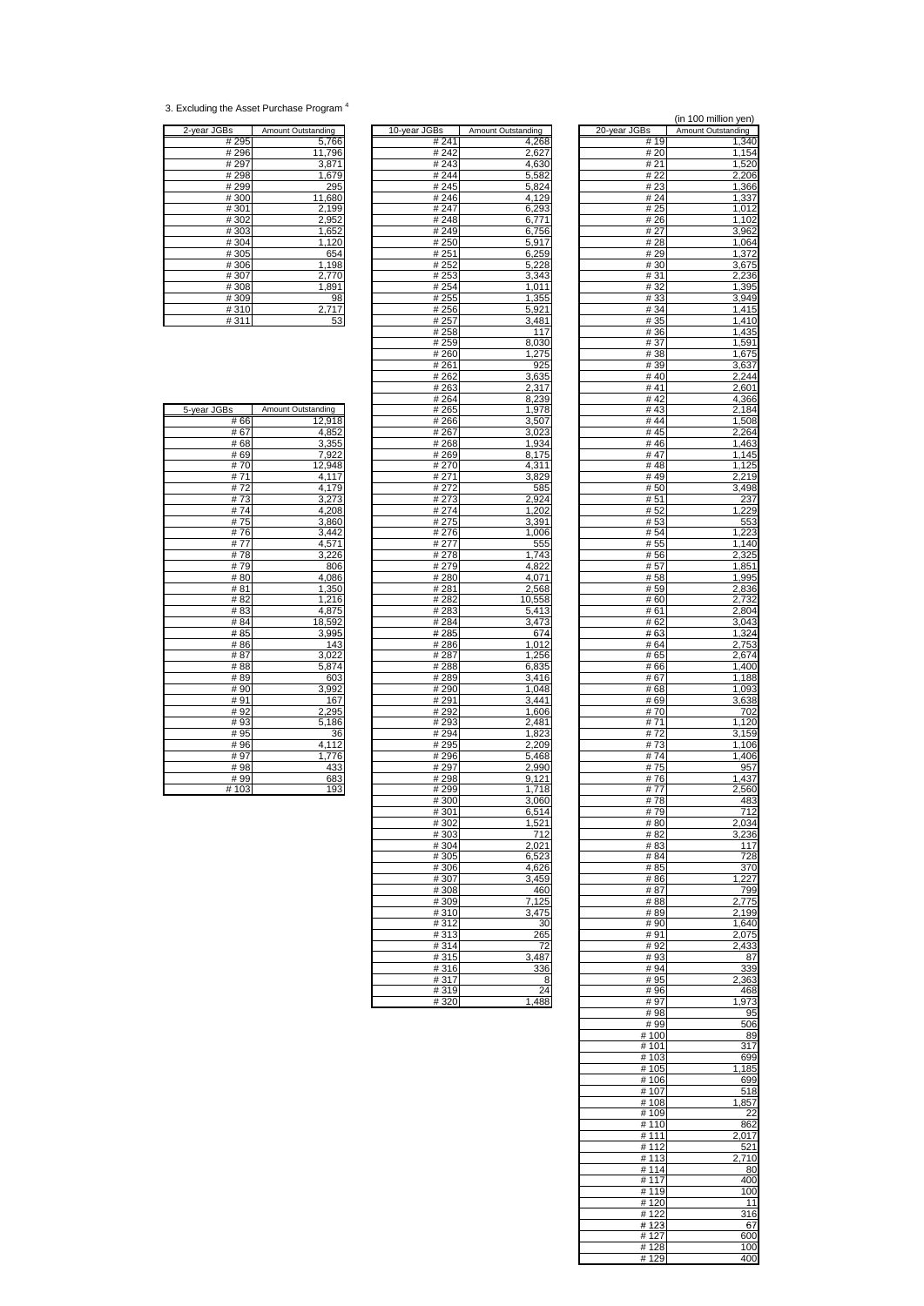## 3. Excluding the Asset Purchase Program 4

| 2-year JGBs | Amount Outstanding |
|-------------|--------------------|
| # 295       | 5,766              |
| #296        | 11,796             |
| #297        | 3,871              |
| #298        | 1,679              |
| #299        | 295                |
| #300        | 11,680             |
| #301        | 2,199<br>2,952     |
| #302        |                    |
| #303        | 1,652              |
| #304        | 1,120              |
| #305        | 654                |
| #306        | 1,198              |
| #307        | 2,770              |
| #308        | 1,891              |
| #309        | 98                 |
| #310        | 2,717              |
| #311        | 53                 |

| 2-year JGBs | Amount Outstanding | 10-year JGBs | Amount Outstanding | 20-year JGBs | Amount Outstanding |
|-------------|--------------------|--------------|--------------------|--------------|--------------------|
| # 295       | 5.766              | # 241        | 4.268              | # 19         | 1,340              |
| #296        | 11.796             | # 242        | 2,627              | # 20         | 1,154              |
| # 297       | 3,871              | #243         | 4,630              | # 21         | 1,520              |
| #298        | 1,679              | #244         | 5,582              | # 22         | 2,206              |
| #299        | 295                | # 245        | 5,824              | #23          | 1,366              |
| #300        | 11,680             | #246         | 4,129              | # 24         | 1,337              |
| #301        | 2,199              | # 247        | 6,293              | # 25         | 1,012              |
| #302        |                    | #248         | 6,771              | # 26         | 1,102              |
|             | 2,952              |              |                    |              |                    |
| #303        | 1,652              | #249         | 6,756              | # 27         | 3,962              |
| #304        | 1,120              | # 250        | 5,917              | # 28         | 1,064              |
| #305        | 654                | # 251        | 6,259              | # 29         | 1,372              |
| #306        | 1,198              | # 252        | 5,228              | # 30         | 3,675              |
| #307        | 2,770              | # 253        | 3,343              | # 31         | 2,236              |
| #308        | 1,891              | # 254        | 1,011              | # 32         | 1,395              |
| #309        | 98                 | # 255        | 1,355              | #33          | 3,949              |
| #310        | 2,717              | # 256        | 5,921              | # 34         | 1,415              |
| #311        | 53                 | # 257        | 3,481              | # 35         | 1,410              |
|             |                    | #258         | 117                | # 36         | 1,435              |
|             |                    | #259         | 8,030              | # 37         | 1,591              |
|             |                    | #260         | 1,275              | #38          | 1,675              |
|             |                    | # 261        | 925                | #39          | 3,637              |
|             |                    | #262         | 3,635              | #40          | 2,244              |
|             |                    | #263         | 2,317              | #41          |                    |
|             |                    |              |                    |              | 2,601              |
|             |                    | # 264        | 8,239              | #42          | 4,366              |
| 5-year JGBs | Amount Outstanding | # 265        | 1,978              | #43          | 2,184              |
| # 66        | 12,918             | # 266        | 3,507              | #44          | 1,508              |
| # 67        | 4,852              | #267         | 3,023              | #45          | 2,264              |
| #68         | 3,355              | #268         | 1,934              | #46          | 1,463              |
| # 69        | 7,922              | # 269        | 8,175              | #47          | 1,145              |
| #70         | 12,948             | # 270        | 4,311              | #48          | 1,125              |
| #71         | 4,117              | # 271        | 3,829              | #49          | 2,219              |
| #72         | 4,179              | #272         | 585                | # 50         | 3,498              |
| #73         | 3,273              | #273         | 2,924              | # 51         | 237                |
| #74         | 4,208              | # 274        | 1,202              | #52          | 1,229              |
| #75         | 3,860              | #275         | 3,391              | # 53         | 553                |
| #76         | 3,442              | #276         | 1,006              | # 54         | 1,223              |
| #77         | 4,571              | #277         | 555                | # 55         | 1,140              |
|             |                    |              |                    |              |                    |
| #78         | 3,226              | #278         | 1,743              | # 56         | 2,325              |
| #79         | 806                | #279         | 4,822              | # 57         | 1,851              |
| #80         | 4,086              | #280         | 4,071              | # 58         | 1,995              |
| #81         | 1,350              | #281         | 2,568              | # 59         | 2,836              |
| #82         | 1,216              | #282         | 10,558             | # 60         | 2,732              |
| #83         | 4,875              | #283         | 5,413              | # 61         | 2,804              |
| # 84        | 18,592             | #284         | 3,473              | # 62         | 3,043              |
| # 85        | 3,995              | #285         | 674                | #63          | 1,324              |
| #86         | 143                | #286         | 1,012              | # 64         | 2,753              |
| #87         | 3,022              | #287         | 1,256              | # 65         | 2,674              |
| # 88        | 5,874              | #288         | 6,835              | # 66         | 1,400              |
| #89         | 603                | #289         | 3,416              | # 67         | 1,188              |
| #90         | 3,992              | #290         | 1,048              | # 68         | 1,093              |
| #91         | 167                | # 291        | 3,441              | # 69         | 3,638              |
| # 92        | 2,295              | # 292        | 1,606              | #70          | 702                |
|             |                    |              |                    |              |                    |
| # 93        | 5,186              | #293         | 2,481              | #71          | 1,120              |
| # 95        | 36                 | # 294        | 1,823              | #72          | 3,159              |
| #96         | 4,112              | # 295        | 2,209              | #73          | 1,106              |
| #97         | 1,776              | #296         | 5,468              | #74          | 1,406              |
| #98         | 433                | #297         | 2,990              | #75          | 957                |
| # 99        | 683                | #298         | 9,121              | #76          | 1,437              |
| #103        | 193                | #299         | 1,718              | #77          | 2,560              |
|             |                    | #300         | 3,060              | #78          | 483                |
|             |                    | #301         | 6,514              | #79          | 712                |
|             |                    |              | 1,521              | #80          | 2,034              |
|             |                    | #302         |                    |              |                    |
|             |                    |              | 712                |              |                    |
|             |                    | #303         |                    | #82          | 3,236              |
|             |                    | #304         | 2,021              | #83          | <u>117</u>         |
|             |                    | #305         | 6,523              | #84          | 728                |
|             |                    | #306         | 4,626              | # 85         | 37C                |
|             |                    | #307         | 3,459              | #86          | ,227               |
|             |                    | #308         | 460                | #87          | 799                |
|             |                    | #309         | 7,125              | #88          | 2,775              |
|             |                    | #310         | 3,475              | #89          | 2,199              |
|             |                    | #312         | 30                 | #90          | 1,640              |
|             |                    | #313         | 265                | #91          | 2,075              |
|             |                    | #314         | 72                 | #92          | 2,433              |
|             |                    | #315         | 3,487              | #93          | 87                 |
|             |                    | #316         | 336                | #94          | 339                |
|             |                    | #317         | 8                  | #95          | 2,363              |
|             |                    |              |                    |              |                    |
|             |                    | #319<br>#320 | 24<br>1,488        | #96<br>#97   | 468<br>1,973       |

|                |                           |              | (in 100 million yen) |
|----------------|---------------------------|--------------|----------------------|
| Bs             | <b>Amount Outstanding</b> | 20-year JGBs | Amount Outstanding   |
| #241           | 4,268                     | # 19         | <u>1,</u> 340        |
| # 242          | 2,627                     | # 20         | 1,154                |
| # 243          | 4,630                     | # 21         | 1,520                |
| #244           | 5,582                     | # 22         | 2,206                |
| #245           | 5,824                     | #23          | 1,366                |
| #246           | 4,129                     | # 24         | 1,337                |
| #247           | 6,293                     | # 25         | 1,012                |
| #248           | 6,771                     | # 26         | 1,102                |
| # 249          | 6,756                     | # 27         | 3,962                |
| # 250          | 5,917                     | # 28         | 1,064                |
| # 251          | 6,259                     | # 29         | 1,372                |
| # 252          | 5,228                     | # 30         | 3,675                |
| # 253          | 3,343                     | #31          | 2,236                |
| # 254          | 1,011                     | #32          | 1,395                |
| # 255          | 1,355                     | #33          | 3,949                |
| # 256          | 5,921                     | # 34         | 1,415                |
| # 257          | 3,481                     | # 35         | 1,410                |
| #258           | 117                       | #36          | 1,435                |
| #259           | 8,030                     | #37          | 1,591                |
| #260           | 1,275                     | #38          | 1,675                |
| # 261          | 925                       | #39          | 3,637                |
| # 262          | 3,635                     | #40          | 2,244                |
| #263           | 2,317                     | #41          | 2,601                |
| #264           | 8,239                     | #42          | 4,366                |
| # 265          | 1,978                     | #43          | 2,184                |
| #266           | 3,507                     | #44          | 1,508                |
| # 267          | 3,023                     | #45          | 2,264                |
| #268           | 1,934                     | #46          | 1,463                |
| #269           | 8,175                     | #47          | 1,145                |
| # 270          | 4,311                     | #48          | 1,125                |
| # 271          | 3,829                     | #49          | 2,219                |
| # 272          | 585                       | # 50         | 3,498                |
| #273           | 2.924                     | # 51         | 237                  |
| #274           | 1,202                     | # 52         | 1,229                |
| #275           | 3,391                     | #53          | 553                  |
| #276           | 1,006                     | # 54         | 1,223                |
| # 277          | 555                       | # 55         | 1,140<br>2.325       |
| #278           | 1,743                     | # 56         |                      |
| # 279          | 4,822                     | # 57         | 1,851                |
| #280           | 4,071                     | #58          | 1,995                |
| #281           | 2,568                     | # 59         | 2,836                |
| # 282          | 10,558                    | # 60         | 2,732                |
| #283           | 5,413                     | # 61         | 2,804                |
| #284           | 3,473                     | # 62         | 3,043                |
| # 285          | 674                       | # 63         | 1,324                |
| #286           | 1,012                     | # 64         | 2,753                |
| # 287          | 1,256                     | # 65         | 2,674                |
| #288           | 6,835                     | # 66         | 1,400                |
| # 289          | 3,416                     | # 67         | 1,188<br>1,093       |
| #290           | 1,048<br>3,441            | # 68         | 3,638                |
| # 291<br># 292 | 1,606                     | # 69<br># 70 | 702                  |
| #293           | 2,481                     | # 71         | 1,120                |
| # 294          | 1,823                     | #72          | 3,159                |
| # 295          | 2,209                     | #73          | 1,106                |
| # 296          | 5,468                     | #74          | 1,406                |
| # 297          | 2,990                     | #75          | 957                  |
| #298           | 9,121                     | #76          | $1,43\overline{7}$   |
| # 299          | 1,718                     | #77          | 2,560                |
| #300           | 3,060                     | #78          | 483                  |
| <u># 301</u>   | 6,514                     | # 79         | 712                  |
| #302           | 1,521                     | #80          | 2,034                |
| #303           | 712                       | # 82         | 3.236                |
| #304           | 2,021                     | #83          | 117                  |
| #305           | 6,523                     | #84          | 728                  |
| #306           | 4,626                     | #85          | 370                  |
| #307           | 3,459                     | #86          | 1,227                |
| #308           | 460                       | #87          | 799                  |
| #309           | 7,125                     | #88          | 2,775                |
| #310           | 3,475                     | #89          | 2,199                |
| #312           | 30                        | #90          | 1,640                |
| #313           | 265                       | #91          | 2,075                |
| #314           | 72                        | #92          | 2.433                |
| #315           | 3,487                     | #93          | 87                   |
| #316           | 336                       | #94          | 339                  |
| #317           | 8                         | #95          | 2,363                |
| #319           | - 24                      | # 96         | 468                  |
| #320           | 1,488                     | #97          | 1,973                |
|                |                           | #98          | 95                   |
|                |                           | #99          | 506                  |
|                |                           | #100         | 89                   |
|                |                           | # 101        | 317                  |
|                |                           | #103         | 699                  |
|                |                           | #105         | 1,185                |
|                |                           | #106         | 699                  |
|                |                           | #107         | 518                  |
|                |                           | #108         | 1,857                |
|                |                           | #109         | $2\overline{2}$      |
|                |                           | #110         | 862                  |
|                |                           | # 111        | 2,017                |
|                |                           | #112         | 521                  |
|                |                           | #113         | 2,710                |
|                |                           | #114         | 80                   |
|                |                           | #117         | 400                  |
|                |                           | # 119        | 100                  |
|                |                           | #120         | 11                   |
|                |                           | # 122        | 316                  |
|                |                           | #123         | 67                   |
|                |                           | #127         | 600                  |
|                |                           | #128         | 100                  |
|                |                           | # 129        | 400                  |

| 5-year JGBs | <b>Amount Outstanding</b> |
|-------------|---------------------------|
| #66         | 12,918                    |
| #67         | 4,852                     |
| # 68        | 3,355                     |
| # 69        | 7,922                     |
| #70         | 12,948                    |
| # 71        | 4,117                     |
| # 72        | 4,179                     |
| #73         | 3,273                     |
| #74         | 4,208                     |
| #75         | 3,860                     |
| #76         | 3,442                     |
| # 77        | 4,571                     |
| # 78        | 3,226                     |
| #79         | 806                       |
| #80         | 4,086                     |
| # 81        | 1,350                     |
| # 82        | 1,216                     |
| #83         | 4,875                     |
| # 84        | 18,592                    |
| # 85        | 3,995                     |
| #86         | 143                       |
| # 87        | 3,022                     |
| # 88        | 5,874                     |
| #89         | 603                       |
| # 90        | 3,992                     |
| #91         | 167                       |
| #92         | 2,295                     |
| # 93        | 5,186                     |
| # 95        | 36                        |
| #96         | 4,112                     |
| #97         | 1,776                     |
| # 98        | 433                       |
| # 99        | 683                       |
| 4.02        | 102                       |